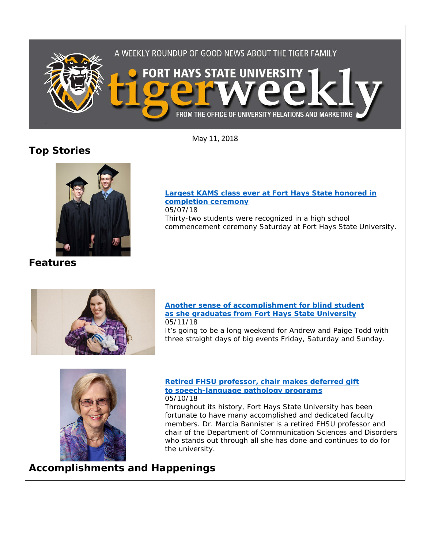

May 11, 2018

# **Top Stories**



**[Largest KAMS class ever at Fort Hays State honored in](https://www.fhsu.edu/news/2018/05/largest-kams-class-ever-at-fort-hays-state-honored-in-completion-ceremony.html)  [completion](https://www.fhsu.edu/news/2018/05/largest-kams-class-ever-at-fort-hays-state-honored-in-completion-ceremony.html) ceremony** 05/07/18 Thirty-two students were recognized in a high school commencement ceremony Saturday at Fort Hays State University.

# **Features**



**[Another sense of accomplishment for blind student](https://www.fhsu.edu/news/2018/05/another-sense-of-accomplishment-for-blind-student-as-she-graduates-from-fort-hays-state-university)  [as she graduates from Fort Hays State University](https://www.fhsu.edu/news/2018/05/another-sense-of-accomplishment-for-blind-student-as-she-graduates-from-fort-hays-state-university)** 05/11/18

It's going to be a long weekend for Andrew and Paige Todd with three straight days of big events Friday, Saturday and Sunday.



**[Retired FHSU professor, chair makes deferred gift](https://www.fhsu.edu/news/2018/05/retired-fhsu-professor,-chair-makes-deferred-gift-to-speech-language-pathology-programs)  [to speech-language pathology programs](https://www.fhsu.edu/news/2018/05/retired-fhsu-professor,-chair-makes-deferred-gift-to-speech-language-pathology-programs)** 05/10/18

Throughout its history, Fort Hays State University has been fortunate to have many accomplished and dedicated faculty members. Dr. Marcia Bannister is a retired FHSU professor and chair of the Department of Communication Sciences and Disorders who stands out through all she has done and continues to do for the university.

**Accomplishments and Happenings**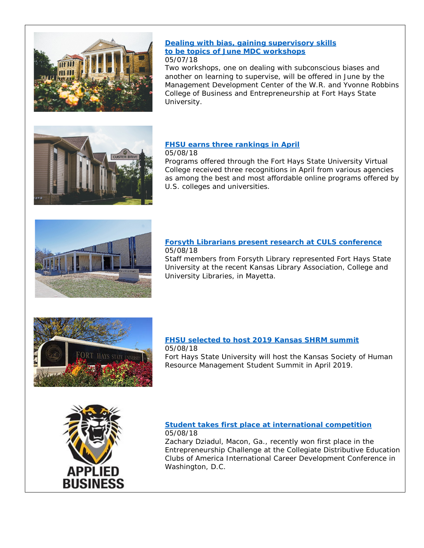

#### **[Dealing with bias, gaining supervisory skills](https://www.fhsu.edu/news/2018/05/dealing-with-bias,-gaining-supervisory-skills-to-be-topics-of-june-mdc-workshops.html)  [to be topics of June MDC workshops](https://www.fhsu.edu/news/2018/05/dealing-with-bias,-gaining-supervisory-skills-to-be-topics-of-june-mdc-workshops.html)** 05/07/18

Two workshops, one on dealing with subconscious biases and another on learning to supervise, will be offered in June by the Management Development Center of the W.R. and Yvonne Robbins College of Business and Entrepreneurship at Fort Hays State University.



### **[FHSU earns three rankings in April](https://www.fhsu.edu/news/2018/05/fhsu-earns-three-rankings-in-april.html)**

05/08/18

Programs offered through the Fort Hays State University Virtual College received three recognitions in April from various agencies as among the best and most affordable online programs offered by U.S. colleges and universities.



#### **[Forsyth Librarians present research](https://www.fhsu.edu/news/2018/05/forsyth-librarians-present-research-at-culs-conference.html) at CULS conference** 05/08/18

Staff members from Forsyth Library represented Fort Hays State University at the recent Kansas Library Association, College and University Libraries, in Mayetta.



## **[FHSU selected to host 2019 Kansas SHRM summit](https://www.fhsu.edu/news/2018/05/fhsu-selected-to-host-2019-kansas-shrm-summit.html)**

05/08/18 Fort Hays State University will host the Kansas Society of Human Resource Management Student Summit in April 2019.



#### **[Student takes first place at international competition](https://www.fhsu.edu/news/2018/05/student-takes-first-place-at-international-competition.html)** 05/08/18

Zachary Dziadul, Macon, Ga., recently won first place in the Entrepreneurship Challenge at the Collegiate Distributive Education Clubs of America International Career Development Conference in Washington, D.C.